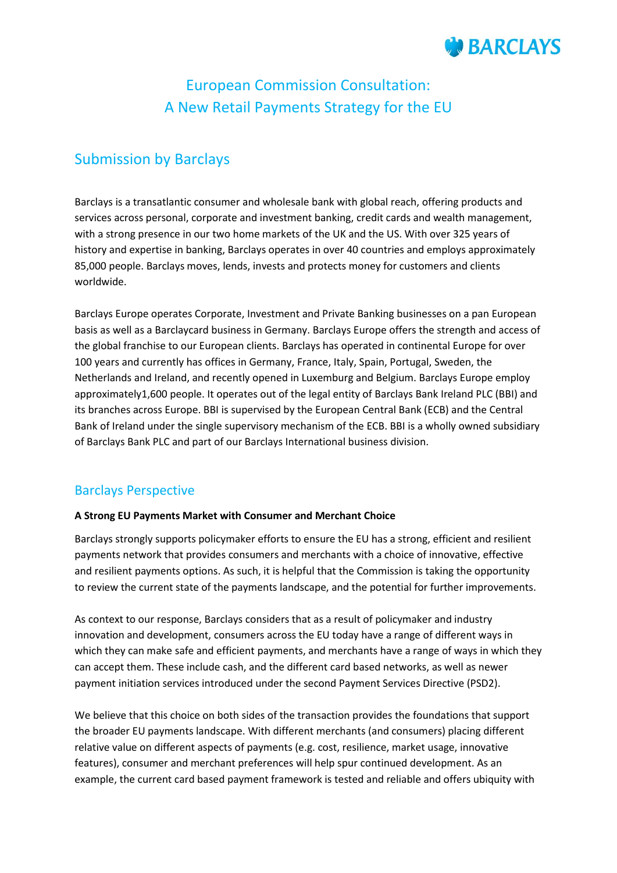

# European Commission Consultation: A New Retail Payments Strategy for the EU

# Submission by Barclays

Barclays is a transatlantic consumer and wholesale bank with global reach, offering products and services across personal, corporate and investment banking, credit cards and wealth management, with a strong presence in our two home markets of the UK and the US. With over 325 years of history and expertise in banking, Barclays operates in over 40 countries and employs approximately 85,000 people. Barclays moves, lends, invests and protects money for customers and clients worldwide.

Barclays Europe operates Corporate, Investment and Private Banking businesses on a pan European basis as well as a Barclaycard business in Germany. Barclays Europe offers the strength and access of the global franchise to our European clients. Barclays has operated in continental Europe for over 100 years and currently has offices in Germany, France, Italy, Spain, Portugal, Sweden, the Netherlands and Ireland, and recently opened in Luxemburg and Belgium. Barclays Europe employ approximately1,600 people. It operates out of the legal entity of Barclays Bank Ireland PLC (BBI) and its branches across Europe. BBI is supervised by the European Central Bank (ECB) and the Central Bank of Ireland under the single supervisory mechanism of the ECB. BBI is a wholly owned subsidiary of Barclays Bank PLC and part of our Barclays International business division.

## Barclays Perspective

#### **A Strong EU Payments Market with Consumer and Merchant Choice**

Barclays strongly supports policymaker efforts to ensure the EU has a strong, efficient and resilient payments network that provides consumers and merchants with a choice of innovative, effective and resilient payments options. As such, it is helpful that the Commission is taking the opportunity to review the current state of the payments landscape, and the potential for further improvements.

As context to our response, Barclays considers that as a result of policymaker and industry innovation and development, consumers across the EU today have a range of different ways in which they can make safe and efficient payments, and merchants have a range of ways in which they can accept them. These include cash, and the different card based networks, as well as newer payment initiation services introduced under the second Payment Services Directive (PSD2).

We believe that this choice on both sides of the transaction provides the foundations that support the broader EU payments landscape. With different merchants (and consumers) placing different relative value on different aspects of payments (e.g. cost, resilience, market usage, innovative features), consumer and merchant preferences will help spur continued development. As an example, the current card based payment framework is tested and reliable and offers ubiquity with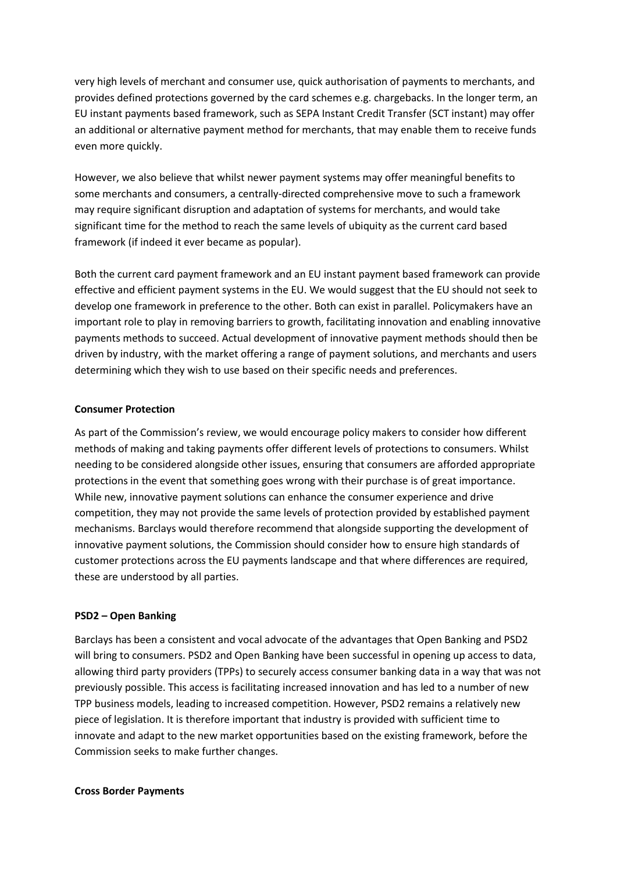very high levels of merchant and consumer use, quick authorisation of payments to merchants, and provides defined protections governed by the card schemes e.g. chargebacks. In the longer term, an EU instant payments based framework, such as SEPA Instant Credit Transfer (SCT instant) may offer an additional or alternative payment method for merchants, that may enable them to receive funds even more quickly.

However, we also believe that whilst newer payment systems may offer meaningful benefits to some merchants and consumers, a centrally-directed comprehensive move to such a framework may require significant disruption and adaptation of systems for merchants, and would take significant time for the method to reach the same levels of ubiquity as the current card based framework (if indeed it ever became as popular).

Both the current card payment framework and an EU instant payment based framework can provide effective and efficient payment systems in the EU. We would suggest that the EU should not seek to develop one framework in preference to the other. Both can exist in parallel. Policymakers have an important role to play in removing barriers to growth, facilitating innovation and enabling innovative payments methods to succeed. Actual development of innovative payment methods should then be driven by industry, with the market offering a range of payment solutions, and merchants and users determining which they wish to use based on their specific needs and preferences.

#### **Consumer Protection**

As part of the Commission's review, we would encourage policy makers to consider how different methods of making and taking payments offer different levels of protections to consumers. Whilst needing to be considered alongside other issues, ensuring that consumers are afforded appropriate protections in the event that something goes wrong with their purchase is of great importance. While new, innovative payment solutions can enhance the consumer experience and drive competition, they may not provide the same levels of protection provided by established payment mechanisms. Barclays would therefore recommend that alongside supporting the development of innovative payment solutions, the Commission should consider how to ensure high standards of customer protections across the EU payments landscape and that where differences are required, these are understood by all parties.

#### **PSD2 – Open Banking**

Barclays has been a consistent and vocal advocate of the advantages that Open Banking and PSD2 will bring to consumers. PSD2 and Open Banking have been successful in opening up access to data, allowing third party providers (TPPs) to securely access consumer banking data in a way that was not previously possible. This access is facilitating increased innovation and has led to a number of new TPP business models, leading to increased competition. However, PSD2 remains a relatively new piece of legislation. It is therefore important that industry is provided with sufficient time to innovate and adapt to the new market opportunities based on the existing framework, before the Commission seeks to make further changes.

#### **Cross Border Payments**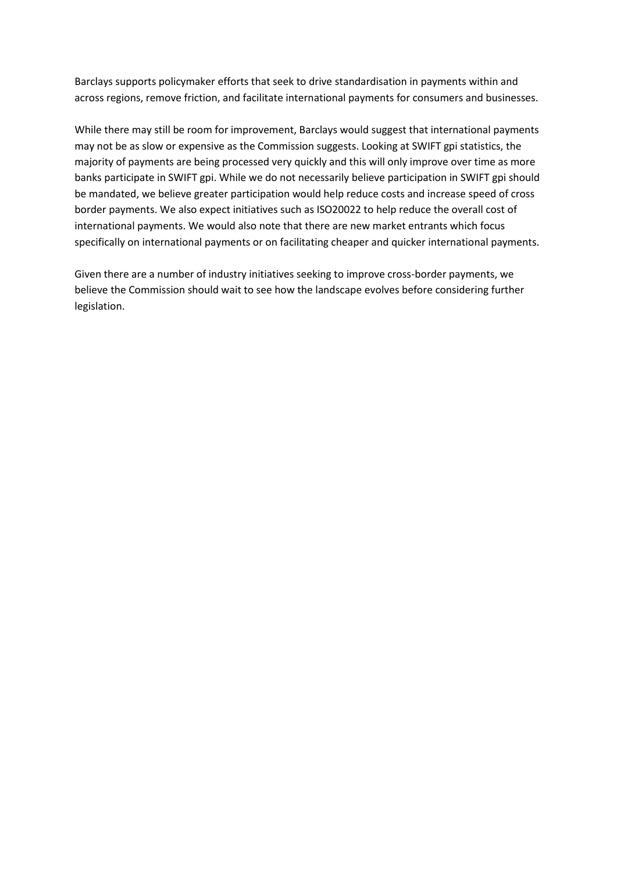Barclays supports policymaker efforts that seek to drive standardisation in payments within and across regions, remove friction, and facilitate international payments for consumers and businesses.

While there may still be room for improvement, Barclays would suggest that international payments may not be as slow or expensive as the Commission suggests. Looking at SWIFT gpi statistics, the majority of payments are being processed very quickly and this will only improve over time as more banks participate in SWIFT gpi. While we do not necessarily believe participation in SWIFT gpi should be mandated, we believe greater participation would help reduce costs and increase speed of cross border payments. We also expect initiatives such as ISO20022 to help reduce the overall cost of international payments. We would also note that there are new market entrants which focus specifically on international payments or on facilitating cheaper and quicker international payments.

Given there are a number of industry initiatives seeking to improve cross-border payments, we believe the Commission should wait to see how the landscape evolves before considering further legislation.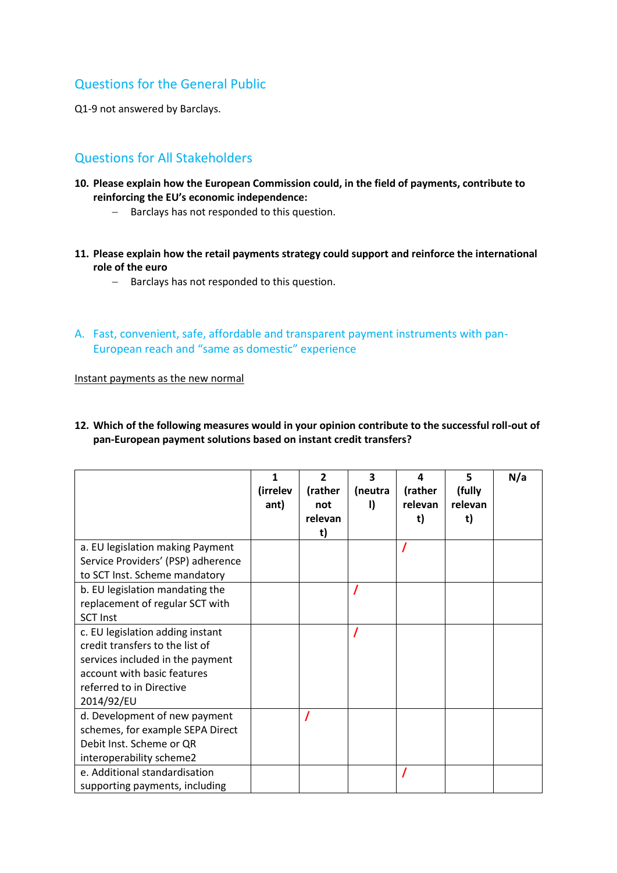# Questions for the General Public

Q1-9 not answered by Barclays.

# Questions for All Stakeholders

- **10. Please explain how the European Commission could, in the field of payments, contribute to reinforcing the EU's economic independence:**
	- Barclays has not responded to this question.
- **11. Please explain how the retail payments strategy could support and reinforce the international role of the euro**
	- Barclays has not responded to this question.
- A. Fast, convenient, safe, affordable and transparent payment instruments with pan-European reach and "same as domestic" experience

Instant payments as the new normal

| 12. Which of the following measures would in your opinion contribute to the successful roll-out of |
|----------------------------------------------------------------------------------------------------|
| pan-European payment solutions based on instant credit transfers?                                  |

|                                    | 1<br>(irrelev | $\overline{\phantom{a}}$<br>(rather | 3<br>(neutra | Δ<br>(rather | 5<br>(fully | N/a |
|------------------------------------|---------------|-------------------------------------|--------------|--------------|-------------|-----|
|                                    | ant)          | not                                 | Đ            | relevan      | relevan     |     |
|                                    |               | relevan                             |              | t)           | t)          |     |
| a. EU legislation making Payment   |               | t)                                  |              |              |             |     |
| Service Providers' (PSP) adherence |               |                                     |              |              |             |     |
| to SCT Inst. Scheme mandatory      |               |                                     |              |              |             |     |
| b. EU legislation mandating the    |               |                                     |              |              |             |     |
| replacement of regular SCT with    |               |                                     |              |              |             |     |
| <b>SCT Inst</b>                    |               |                                     |              |              |             |     |
| c. EU legislation adding instant   |               |                                     |              |              |             |     |
| credit transfers to the list of    |               |                                     |              |              |             |     |
| services included in the payment   |               |                                     |              |              |             |     |
| account with basic features        |               |                                     |              |              |             |     |
| referred to in Directive           |               |                                     |              |              |             |     |
| 2014/92/EU                         |               |                                     |              |              |             |     |
| d. Development of new payment      |               |                                     |              |              |             |     |
| schemes, for example SEPA Direct   |               |                                     |              |              |             |     |
| Debit Inst. Scheme or QR           |               |                                     |              |              |             |     |
| interoperability scheme2           |               |                                     |              |              |             |     |
| e. Additional standardisation      |               |                                     |              |              |             |     |
| supporting payments, including     |               |                                     |              |              |             |     |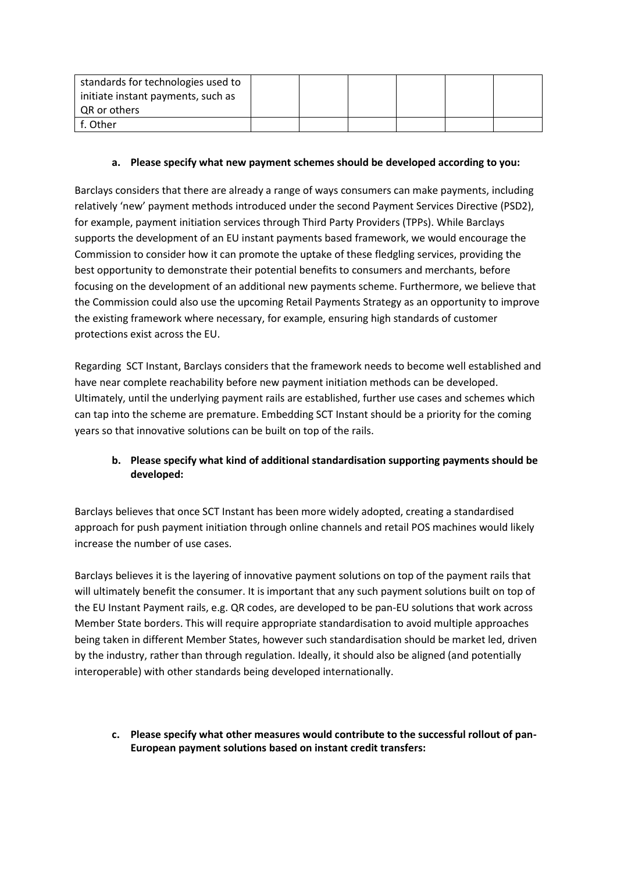| standards for technologies used to |  |  |  |
|------------------------------------|--|--|--|
| initiate instant payments, such as |  |  |  |
| QR or others                       |  |  |  |
| f. Other                           |  |  |  |

#### **a. Please specify what new payment schemes should be developed according to you:**

Barclays considers that there are already a range of ways consumers can make payments, including relatively 'new' payment methods introduced under the second Payment Services Directive (PSD2), for example, payment initiation services through Third Party Providers (TPPs). While Barclays supports the development of an EU instant payments based framework, we would encourage the Commission to consider how it can promote the uptake of these fledgling services, providing the best opportunity to demonstrate their potential benefits to consumers and merchants, before focusing on the development of an additional new payments scheme. Furthermore, we believe that the Commission could also use the upcoming Retail Payments Strategy as an opportunity to improve the existing framework where necessary, for example, ensuring high standards of customer protections exist across the EU.

Regarding SCT Instant, Barclays considers that the framework needs to become well established and have near complete reachability before new payment initiation methods can be developed. Ultimately, until the underlying payment rails are established, further use cases and schemes which can tap into the scheme are premature. Embedding SCT Instant should be a priority for the coming years so that innovative solutions can be built on top of the rails.

## **b. Please specify what kind of additional standardisation supporting payments should be developed:**

Barclays believes that once SCT Instant has been more widely adopted, creating a standardised approach for push payment initiation through online channels and retail POS machines would likely increase the number of use cases.

Barclays believes it is the layering of innovative payment solutions on top of the payment rails that will ultimately benefit the consumer. It is important that any such payment solutions built on top of the EU Instant Payment rails, e.g. QR codes, are developed to be pan-EU solutions that work across Member State borders. This will require appropriate standardisation to avoid multiple approaches being taken in different Member States, however such standardisation should be market led, driven by the industry, rather than through regulation. Ideally, it should also be aligned (and potentially interoperable) with other standards being developed internationally.

**c. Please specify what other measures would contribute to the successful rollout of pan-European payment solutions based on instant credit transfers:**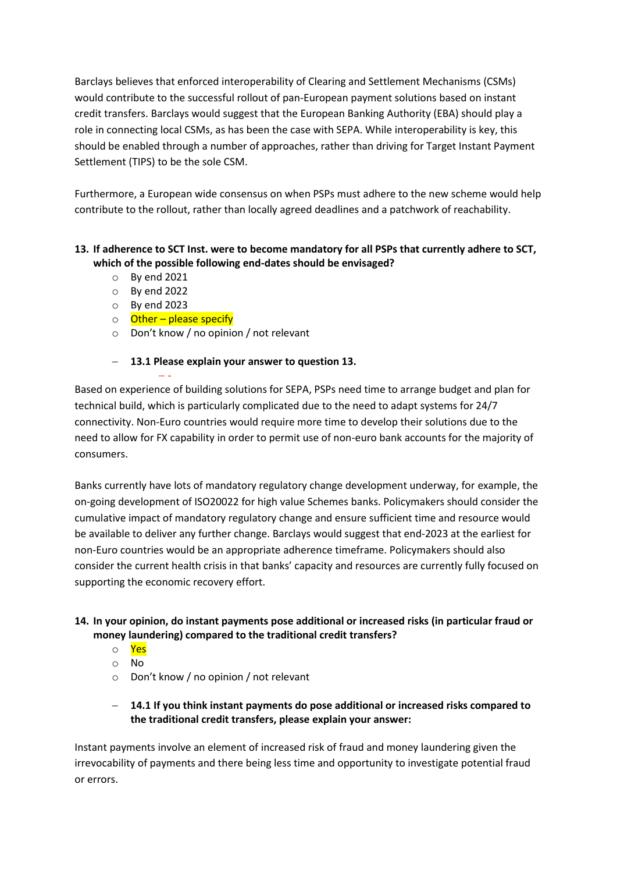Barclays believes that enforced interoperability of Clearing and Settlement Mechanisms (CSMs) would contribute to the successful rollout of pan-European payment solutions based on instant credit transfers. Barclays would suggest that the European Banking Authority (EBA) should play a role in connecting local CSMs, as has been the case with SEPA. While interoperability is key, this should be enabled through a number of approaches, rather than driving for Target Instant Payment Settlement (TIPS) to be the sole CSM.

Furthermore, a European wide consensus on when PSPs must adhere to the new scheme would help contribute to the rollout, rather than locally agreed deadlines and a patchwork of reachability.

## **13. If adherence to SCT Inst. were to become mandatory for all PSPs that currently adhere to SCT, which of the possible following end-dates should be envisaged?**

- o By end 2021
- o By end 2022
- o By end 2023
- o **Other please specify**
- o Don't know / no opinion / not relevant

## **13.1 Please explain your answer to question 13.**

 - Based on experience of building solutions for SEPA, PSPs need time to arrange budget and plan for technical build, which is particularly complicated due to the need to adapt systems for 24/7 connectivity. Non-Euro countries would require more time to develop their solutions due to the need to allow for FX capability in order to permit use of non-euro bank accounts for the majority of consumers.

Banks currently have lots of mandatory regulatory change development underway, for example, the on-going development of ISO20022 for high value Schemes banks. Policymakers should consider the cumulative impact of mandatory regulatory change and ensure sufficient time and resource would be available to deliver any further change. Barclays would suggest that end-2023 at the earliest for non-Euro countries would be an appropriate adherence timeframe. Policymakers should also consider the current health crisis in that banks' capacity and resources are currently fully focused on supporting the economic recovery effort.

## **14. In your opinion, do instant payments pose additional or increased risks (in particular fraud or money laundering) compared to the traditional credit transfers?**

- o Yes
- o No
- o Don't know / no opinion / not relevant
- **14.1 If you think instant payments do pose additional or increased risks compared to the traditional credit transfers, please explain your answer:**

Instant payments involve an element of increased risk of fraud and money laundering given the irrevocability of payments and there being less time and opportunity to investigate potential fraud or errors.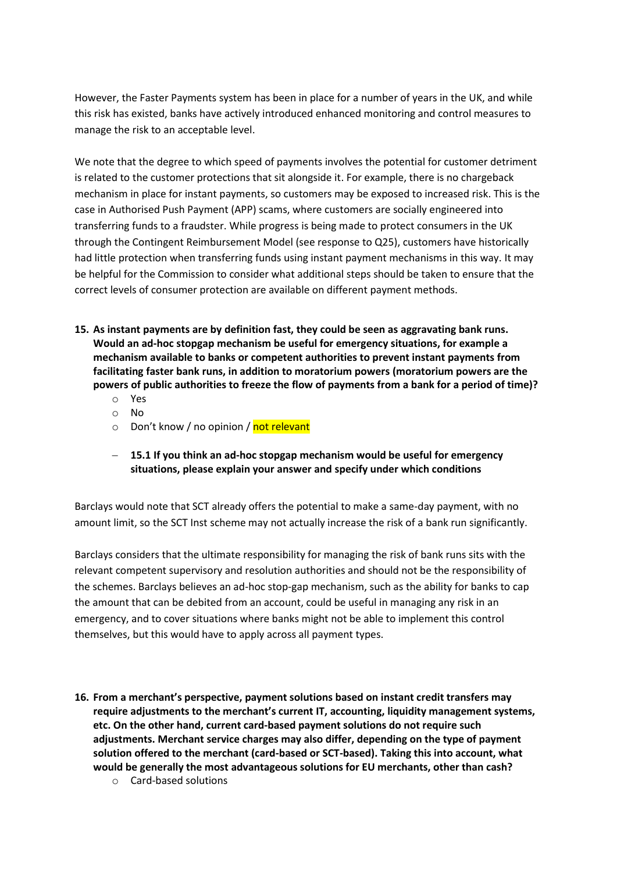However, the Faster Payments system has been in place for a number of years in the UK, and while this risk has existed, banks have actively introduced enhanced monitoring and control measures to manage the risk to an acceptable level.

We note that the degree to which speed of payments involves the potential for customer detriment is related to the customer protections that sit alongside it. For example, there is no chargeback mechanism in place for instant payments, so customers may be exposed to increased risk. This is the case in Authorised Push Payment (APP) scams, where customers are socially engineered into transferring funds to a fraudster. While progress is being made to protect consumers in the UK through the Contingent Reimbursement Model (see response to Q25), customers have historically had little protection when transferring funds using instant payment mechanisms in this way. It may be helpful for the Commission to consider what additional steps should be taken to ensure that the correct levels of consumer protection are available on different payment methods.

- **15. As instant payments are by definition fast, they could be seen as aggravating bank runs. Would an ad-hoc stopgap mechanism be useful for emergency situations, for example a mechanism available to banks or competent authorities to prevent instant payments from facilitating faster bank runs, in addition to moratorium powers (moratorium powers are the powers of public authorities to freeze the flow of payments from a bank for a period of time)?**
	- o Yes
	- o No
	- o Don't know / no opinion / not relevant
	- **15.1 If you think an ad-hoc stopgap mechanism would be useful for emergency situations, please explain your answer and specify under which conditions**

Barclays would note that SCT already offers the potential to make a same-day payment, with no amount limit, so the SCT Inst scheme may not actually increase the risk of a bank run significantly.

Barclays considers that the ultimate responsibility for managing the risk of bank runs sits with the relevant competent supervisory and resolution authorities and should not be the responsibility of the schemes. Barclays believes an ad-hoc stop-gap mechanism, such as the ability for banks to cap the amount that can be debited from an account, could be useful in managing any risk in an emergency, and to cover situations where banks might not be able to implement this control themselves, but this would have to apply across all payment types.

- **16. From a merchant's perspective, payment solutions based on instant credit transfers may require adjustments to the merchant's current IT, accounting, liquidity management systems, etc. On the other hand, current card-based payment solutions do not require such adjustments. Merchant service charges may also differ, depending on the type of payment solution offered to the merchant (card-based or SCT-based). Taking this into account, what would be generally the most advantageous solutions for EU merchants, other than cash?**
	- o Card-based solutions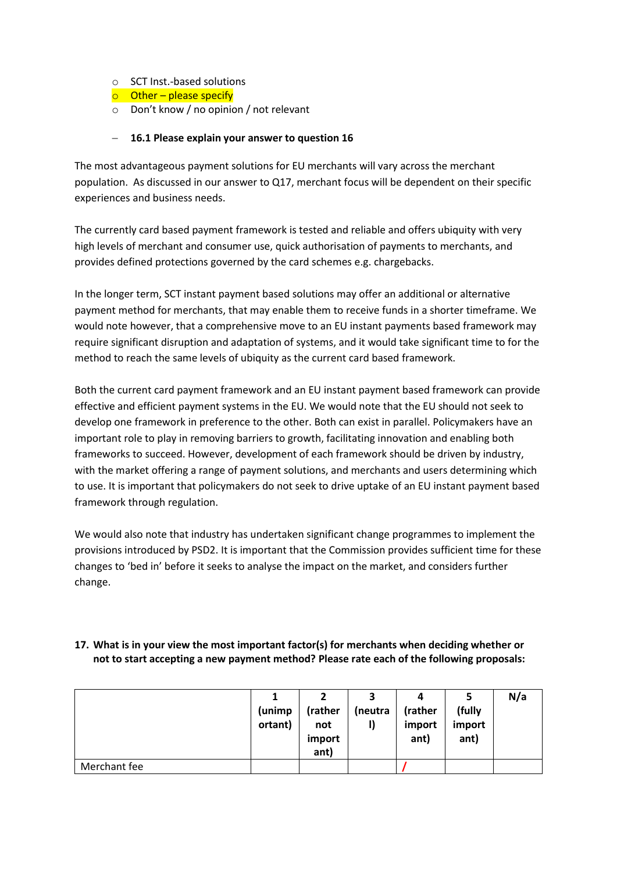- o SCT Inst.-based solutions
- $\circ$  Other please specify
- o Don't know / no opinion / not relevant

#### **16.1 Please explain your answer to question 16**

The most advantageous payment solutions for EU merchants will vary across the merchant population. As discussed in our answer to Q17, merchant focus will be dependent on their specific experiences and business needs.

The currently card based payment framework is tested and reliable and offers ubiquity with very high levels of merchant and consumer use, quick authorisation of payments to merchants, and provides defined protections governed by the card schemes e.g. chargebacks.

In the longer term, SCT instant payment based solutions may offer an additional or alternative payment method for merchants, that may enable them to receive funds in a shorter timeframe. We would note however, that a comprehensive move to an EU instant payments based framework may require significant disruption and adaptation of systems, and it would take significant time to for the method to reach the same levels of ubiquity as the current card based framework.

Both the current card payment framework and an EU instant payment based framework can provide effective and efficient payment systems in the EU. We would note that the EU should not seek to develop one framework in preference to the other. Both can exist in parallel. Policymakers have an important role to play in removing barriers to growth, facilitating innovation and enabling both frameworks to succeed. However, development of each framework should be driven by industry, with the market offering a range of payment solutions, and merchants and users determining which to use. It is important that policymakers do not seek to drive uptake of an EU instant payment based framework through regulation.

We would also note that industry has undertaken significant change programmes to implement the provisions introduced by PSD2. It is important that the Commission provides sufficient time for these changes to 'bed in' before it seeks to analyse the impact on the market, and considers further change.

## **17. What is in your view the most important factor(s) for merchants when deciding whether or not to start accepting a new payment method? Please rate each of the following proposals:**

|              |         |         | 3       | 4       |        | N/a |
|--------------|---------|---------|---------|---------|--------|-----|
|              | (unimp  | (rather | (neutra | (rather | (fully |     |
|              | ortant) | not     | I)      | import  | import |     |
|              |         | import  |         | ant)    | ant)   |     |
|              |         | ant)    |         |         |        |     |
| Merchant fee |         |         |         |         |        |     |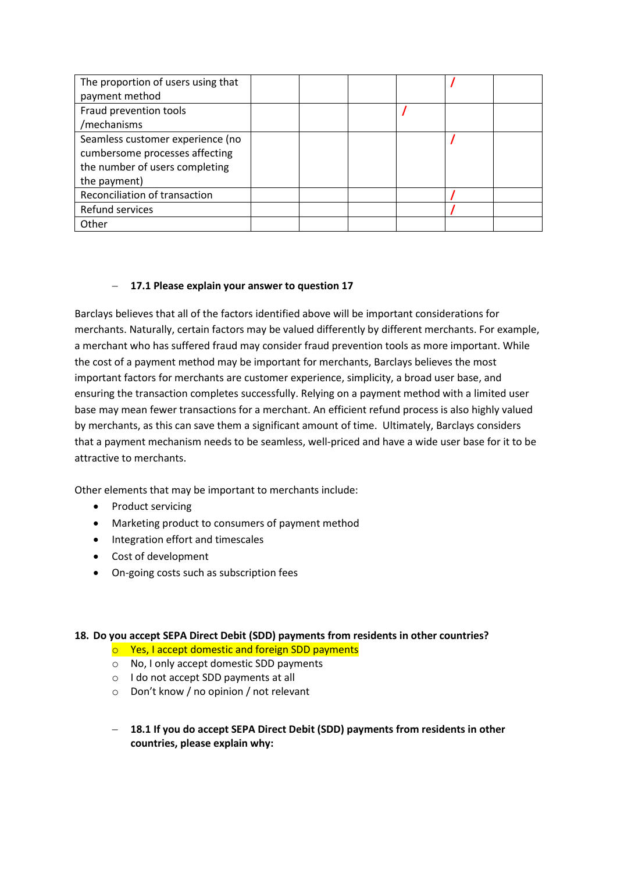| The proportion of users using that |  |  |  |
|------------------------------------|--|--|--|
| payment method                     |  |  |  |
| Fraud prevention tools             |  |  |  |
| /mechanisms                        |  |  |  |
| Seamless customer experience (no   |  |  |  |
| cumbersome processes affecting     |  |  |  |
| the number of users completing     |  |  |  |
| the payment)                       |  |  |  |
| Reconciliation of transaction      |  |  |  |
| Refund services                    |  |  |  |
| Other                              |  |  |  |

#### **17.1 Please explain your answer to question 17**

Barclays believes that all of the factors identified above will be important considerations for merchants. Naturally, certain factors may be valued differently by different merchants. For example, a merchant who has suffered fraud may consider fraud prevention tools as more important. While the cost of a payment method may be important for merchants, Barclays believes the most important factors for merchants are customer experience, simplicity, a broad user base, and ensuring the transaction completes successfully. Relying on a payment method with a limited user base may mean fewer transactions for a merchant. An efficient refund process is also highly valued by merchants, as this can save them a significant amount of time. Ultimately, Barclays considers that a payment mechanism needs to be seamless, well-priced and have a wide user base for it to be attractive to merchants.

Other elements that may be important to merchants include:

- Product servicing
- Marketing product to consumers of payment method
- Integration effort and timescales
- Cost of development
- On-going costs such as subscription fees

#### **18. Do you accept SEPA Direct Debit (SDD) payments from residents in other countries?**

- $\circ$  Yes, I accept domestic and foreign SDD payments
- o No, I only accept domestic SDD payments
- o I do not accept SDD payments at all
- o Don't know / no opinion / not relevant
- **18.1 If you do accept SEPA Direct Debit (SDD) payments from residents in other countries, please explain why:**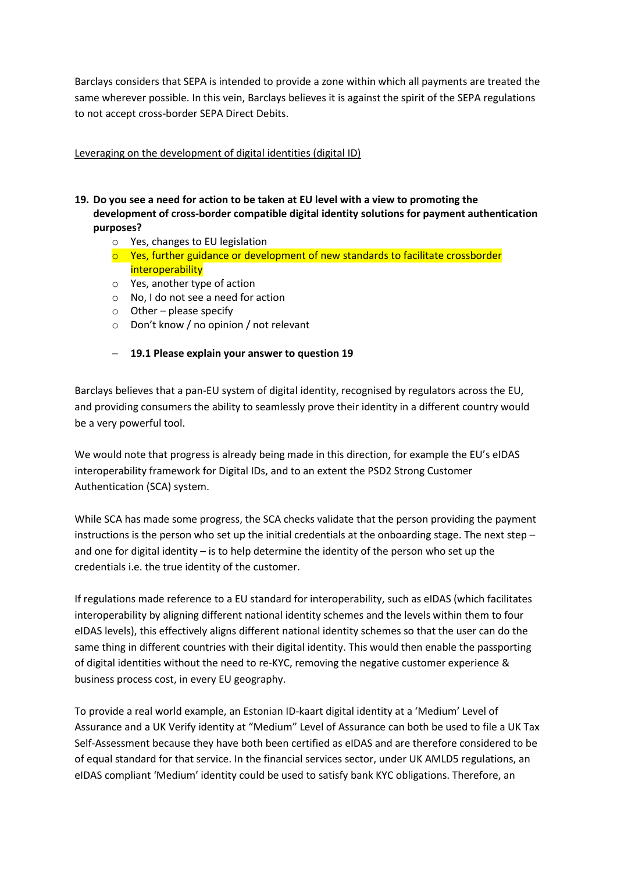Barclays considers that SEPA is intended to provide a zone within which all payments are treated the same wherever possible. In this vein, Barclays believes it is against the spirit of the SEPA regulations to not accept cross-border SEPA Direct Debits.

#### Leveraging on the development of digital identities (digital ID)

- **19. Do you see a need for action to be taken at EU level with a view to promoting the development of cross-border compatible digital identity solutions for payment authentication purposes?**
	- o Yes, changes to EU legislation
	- o Yes, further guidance or development of new standards to facilitate crossborder **interoperability**
	- o Yes, another type of action
	- o No, I do not see a need for action
	- $\circ$  Other please specify
	- o Don't know / no opinion / not relevant
	- **19.1 Please explain your answer to question 19**

Barclays believes that a pan-EU system of digital identity, recognised by regulators across the EU, and providing consumers the ability to seamlessly prove their identity in a different country would be a very powerful tool.

We would note that progress is already being made in this direction, for example the EU's eIDAS interoperability framework for Digital IDs, and to an extent the PSD2 Strong Customer Authentication (SCA) system.

While SCA has made some progress, the SCA checks validate that the person providing the payment instructions is the person who set up the initial credentials at the onboarding stage. The next step – and one for digital identity – is to help determine the identity of the person who set up the credentials i.e. the true identity of the customer.

If regulations made reference to a EU standard for interoperability, such as eIDAS (which facilitates interoperability by aligning different national identity schemes and the levels within them to four eIDAS levels), this effectively aligns different national identity schemes so that the user can do the same thing in different countries with their digital identity. This would then enable the passporting of digital identities without the need to re-KYC, removing the negative customer experience & business process cost, in every EU geography.

To provide a real world example, an Estonian ID-kaart digital identity at a 'Medium' Level of Assurance and a UK Verify identity at "Medium" Level of Assurance can both be used to file a UK Tax Self-Assessment because they have both been certified as eIDAS and are therefore considered to be of equal standard for that service. In the financial services sector, under UK AMLD5 regulations, an eIDAS compliant 'Medium' identity could be used to satisfy bank KYC obligations. Therefore, an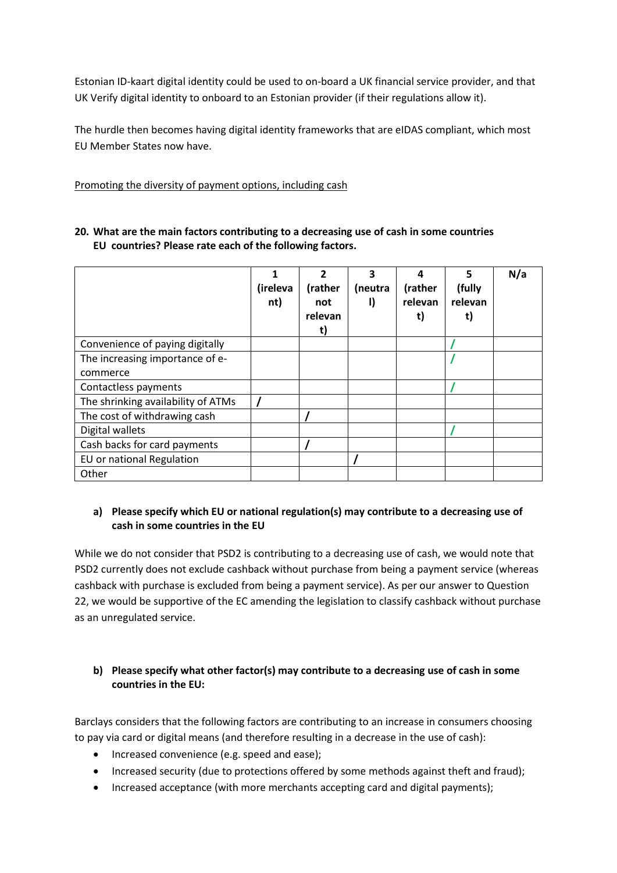Estonian ID-kaart digital identity could be used to on-board a UK financial service provider, and that UK Verify digital identity to onboard to an Estonian provider (if their regulations allow it).

The hurdle then becomes having digital identity frameworks that are eIDAS compliant, which most EU Member States now have.

Promoting the diversity of payment options, including cash

|                                    | 1<br>(ireleva<br>nt) | $\overline{2}$<br>(rather<br>not<br>relevan<br>t) | 3<br>(neutra | Δ<br>(rather<br>relevan<br>t) | 5<br>(fully<br>relevan | N/a |
|------------------------------------|----------------------|---------------------------------------------------|--------------|-------------------------------|------------------------|-----|
| Convenience of paying digitally    |                      |                                                   |              |                               |                        |     |
| The increasing importance of e-    |                      |                                                   |              |                               |                        |     |
| commerce                           |                      |                                                   |              |                               |                        |     |
| Contactless payments               |                      |                                                   |              |                               |                        |     |
| The shrinking availability of ATMs |                      |                                                   |              |                               |                        |     |
| The cost of withdrawing cash       |                      |                                                   |              |                               |                        |     |
| Digital wallets                    |                      |                                                   |              |                               |                        |     |
| Cash backs for card payments       |                      |                                                   |              |                               |                        |     |
| EU or national Regulation          |                      |                                                   |              |                               |                        |     |
| Other                              |                      |                                                   |              |                               |                        |     |

#### **20. What are the main factors contributing to a decreasing use of cash in some countries EU countries? Please rate each of the following factors.**

## **a) Please specify which EU or national regulation(s) may contribute to a decreasing use of cash in some countries in the EU**

While we do not consider that PSD2 is contributing to a decreasing use of cash, we would note that PSD2 currently does not exclude cashback without purchase from being a payment service (whereas cashback with purchase is excluded from being a payment service). As per our answer to Question 22, we would be supportive of the EC amending the legislation to classify cashback without purchase as an unregulated service.

## **b) Please specify what other factor(s) may contribute to a decreasing use of cash in some countries in the EU:**

Barclays considers that the following factors are contributing to an increase in consumers choosing to pay via card or digital means (and therefore resulting in a decrease in the use of cash):

- Increased convenience (e.g. speed and ease);
- Increased security (due to protections offered by some methods against theft and fraud);
- Increased acceptance (with more merchants accepting card and digital payments);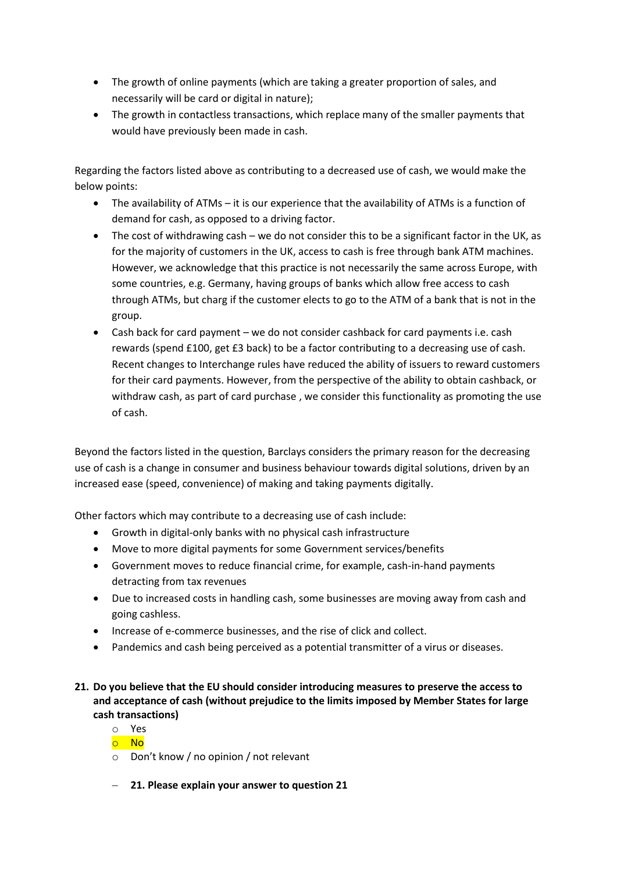- The growth of online payments (which are taking a greater proportion of sales, and necessarily will be card or digital in nature);
- The growth in contactless transactions, which replace many of the smaller payments that would have previously been made in cash.

Regarding the factors listed above as contributing to a decreased use of cash, we would make the below points:

- The availability of ATMs it is our experience that the availability of ATMs is a function of demand for cash, as opposed to a driving factor.
- The cost of withdrawing cash we do not consider this to be a significant factor in the UK, as for the majority of customers in the UK, access to cash is free through bank ATM machines. However, we acknowledge that this practice is not necessarily the same across Europe, with some countries, e.g. Germany, having groups of banks which allow free access to cash through ATMs, but charg if the customer elects to go to the ATM of a bank that is not in the group.
- Cash back for card payment we do not consider cashback for card payments i.e. cash rewards (spend £100, get £3 back) to be a factor contributing to a decreasing use of cash. Recent changes to Interchange rules have reduced the ability of issuers to reward customers for their card payments. However, from the perspective of the ability to obtain cashback, or withdraw cash, as part of card purchase , we consider this functionality as promoting the use of cash.

Beyond the factors listed in the question, Barclays considers the primary reason for the decreasing use of cash is a change in consumer and business behaviour towards digital solutions, driven by an increased ease (speed, convenience) of making and taking payments digitally.

Other factors which may contribute to a decreasing use of cash include:

- Growth in digital-only banks with no physical cash infrastructure
- Move to more digital payments for some Government services/benefits
- Government moves to reduce financial crime, for example, cash-in-hand payments detracting from tax revenues
- Due to increased costs in handling cash, some businesses are moving away from cash and going cashless.
- Increase of e-commerce businesses, and the rise of click and collect.
- Pandemics and cash being perceived as a potential transmitter of a virus or diseases.
- **21. Do you believe that the EU should consider introducing measures to preserve the access to and acceptance of cash (without prejudice to the limits imposed by Member States for large cash transactions)**

o Yes

- o No
- o Don't know / no opinion / not relevant
- **21. Please explain your answer to question 21**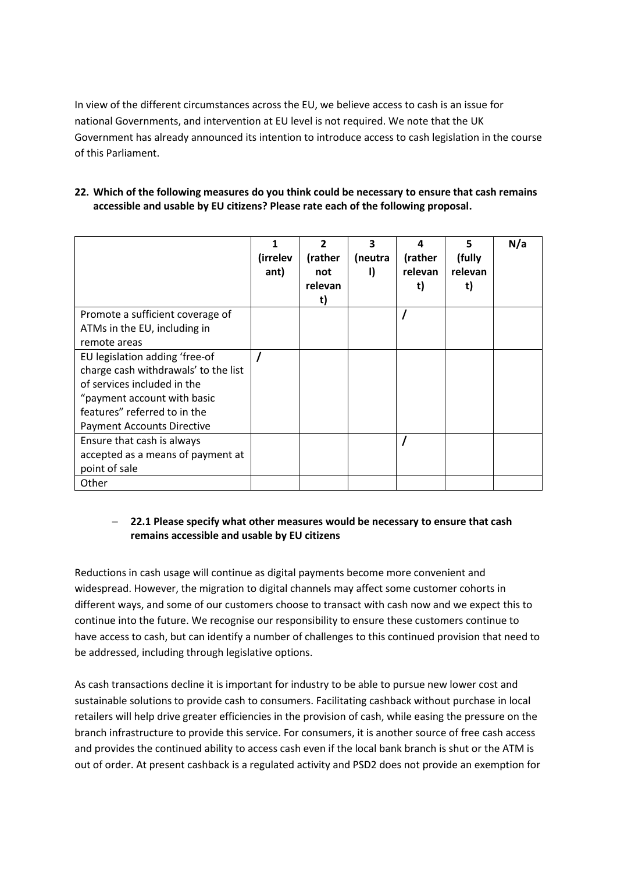In view of the different circumstances across the EU, we believe access to cash is an issue for national Governments, and intervention at EU level is not required. We note that the UK Government has already announced its intention to introduce access to cash legislation in the course of this Parliament.

| 22. Which of the following measures do you think could be necessary to ensure that cash remains |
|-------------------------------------------------------------------------------------------------|
| accessible and usable by EU citizens? Please rate each of the following proposal.               |

|                                      | (irrelev<br>ant) | 2<br>(rather<br>not<br>relevan<br>t) | 3<br>(neutra<br>Ð | 4<br>(rather<br>relevan<br>t) | 5<br>(fully<br>relevan<br>t) | N/a |
|--------------------------------------|------------------|--------------------------------------|-------------------|-------------------------------|------------------------------|-----|
| Promote a sufficient coverage of     |                  |                                      |                   |                               |                              |     |
| ATMs in the EU, including in         |                  |                                      |                   |                               |                              |     |
| remote areas                         |                  |                                      |                   |                               |                              |     |
| EU legislation adding 'free-of       |                  |                                      |                   |                               |                              |     |
| charge cash withdrawals' to the list |                  |                                      |                   |                               |                              |     |
| of services included in the          |                  |                                      |                   |                               |                              |     |
| "payment account with basic          |                  |                                      |                   |                               |                              |     |
| features" referred to in the         |                  |                                      |                   |                               |                              |     |
| <b>Payment Accounts Directive</b>    |                  |                                      |                   |                               |                              |     |
| Ensure that cash is always           |                  |                                      |                   |                               |                              |     |
| accepted as a means of payment at    |                  |                                      |                   |                               |                              |     |
| point of sale                        |                  |                                      |                   |                               |                              |     |
| Other                                |                  |                                      |                   |                               |                              |     |

#### **22.1 Please specify what other measures would be necessary to ensure that cash remains accessible and usable by EU citizens**

Reductions in cash usage will continue as digital payments become more convenient and widespread. However, the migration to digital channels may affect some customer cohorts in different ways, and some of our customers choose to transact with cash now and we expect this to continue into the future. We recognise our responsibility to ensure these customers continue to have access to cash, but can identify a number of challenges to this continued provision that need to be addressed, including through legislative options.

As cash transactions decline it is important for industry to be able to pursue new lower cost and sustainable solutions to provide cash to consumers. Facilitating cashback without purchase in local retailers will help drive greater efficiencies in the provision of cash, while easing the pressure on the branch infrastructure to provide this service. For consumers, it is another source of free cash access and provides the continued ability to access cash even if the local bank branch is shut or the ATM is out of order. At present cashback is a regulated activity and PSD2 does not provide an exemption for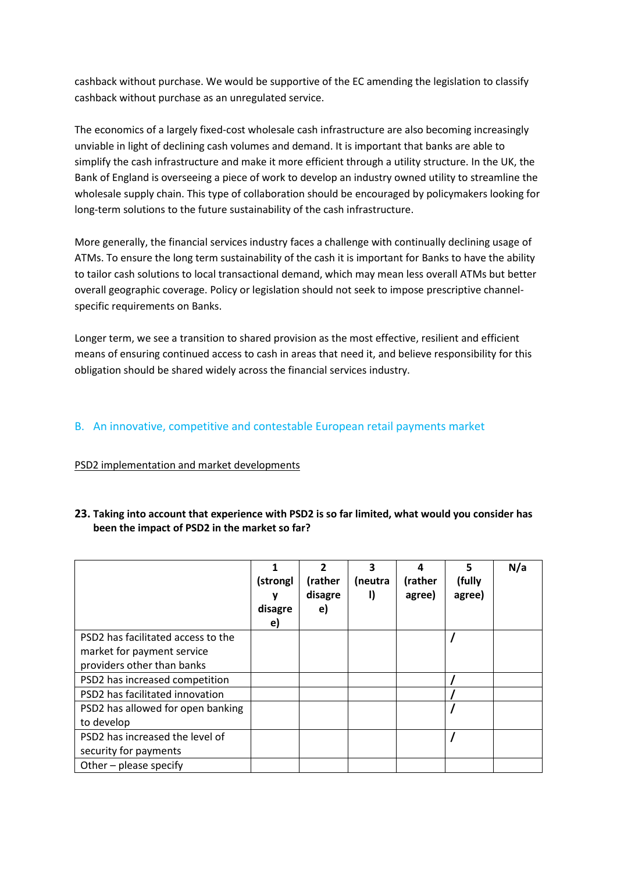cashback without purchase. We would be supportive of the EC amending the legislation to classify cashback without purchase as an unregulated service.

The economics of a largely fixed-cost wholesale cash infrastructure are also becoming increasingly unviable in light of declining cash volumes and demand. It is important that banks are able to simplify the cash infrastructure and make it more efficient through a utility structure. In the UK, the Bank of England is overseeing a piece of work to develop an industry owned utility to streamline the wholesale supply chain. This type of collaboration should be encouraged by policymakers looking for long-term solutions to the future sustainability of the cash infrastructure.

More generally, the financial services industry faces a challenge with continually declining usage of ATMs. To ensure the long term sustainability of the cash it is important for Banks to have the ability to tailor cash solutions to local transactional demand, which may mean less overall ATMs but better overall geographic coverage. Policy or legislation should not seek to impose prescriptive channelspecific requirements on Banks.

Longer term, we see a transition to shared provision as the most effective, resilient and efficient means of ensuring continued access to cash in areas that need it, and believe responsibility for this obligation should be shared widely across the financial services industry.

## B. An innovative, competitive and contestable European retail payments market

#### PSD2 implementation and market developments

|                                    | (strongl<br>ν<br>disagre<br>e) | 2<br>(rather<br>disagre<br>e) | 3<br>(neutra<br>I) | 4<br>(rather<br>agree) | 5<br>(fully<br>agree) | N/a |
|------------------------------------|--------------------------------|-------------------------------|--------------------|------------------------|-----------------------|-----|
| PSD2 has facilitated access to the |                                |                               |                    |                        |                       |     |
| market for payment service         |                                |                               |                    |                        |                       |     |
| providers other than banks         |                                |                               |                    |                        |                       |     |
| PSD2 has increased competition     |                                |                               |                    |                        |                       |     |
| PSD2 has facilitated innovation    |                                |                               |                    |                        |                       |     |
| PSD2 has allowed for open banking  |                                |                               |                    |                        |                       |     |
| to develop                         |                                |                               |                    |                        |                       |     |
| PSD2 has increased the level of    |                                |                               |                    |                        |                       |     |
| security for payments              |                                |                               |                    |                        |                       |     |
| Other - please specify             |                                |                               |                    |                        |                       |     |

#### **23. Taking into account that experience with PSD2 is so far limited, what would you consider has been the impact of PSD2 in the market so far?**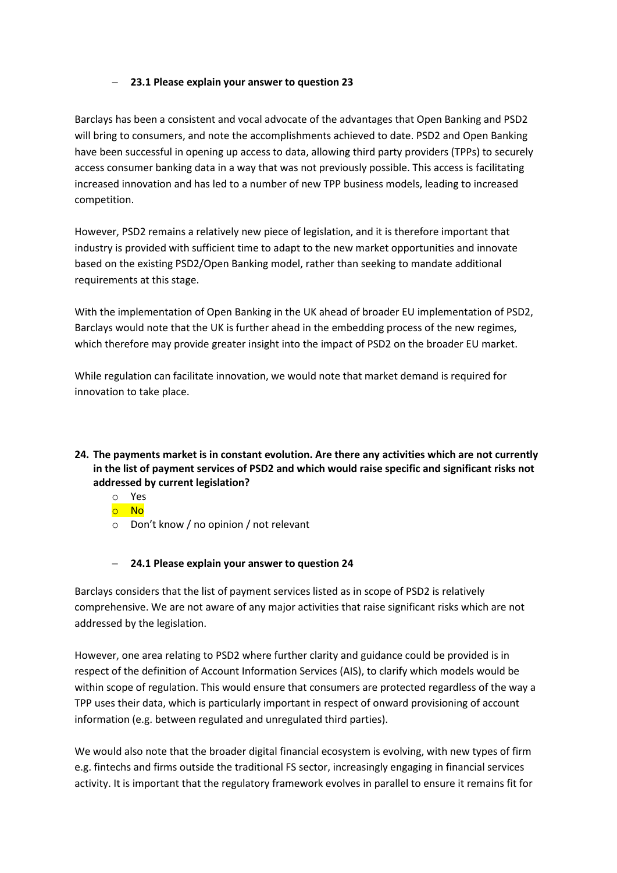#### **23.1 Please explain your answer to question 23**

Barclays has been a consistent and vocal advocate of the advantages that Open Banking and PSD2 will bring to consumers, and note the accomplishments achieved to date. PSD2 and Open Banking have been successful in opening up access to data, allowing third party providers (TPPs) to securely access consumer banking data in a way that was not previously possible. This access is facilitating increased innovation and has led to a number of new TPP business models, leading to increased competition.

However, PSD2 remains a relatively new piece of legislation, and it is therefore important that industry is provided with sufficient time to adapt to the new market opportunities and innovate based on the existing PSD2/Open Banking model, rather than seeking to mandate additional requirements at this stage.

With the implementation of Open Banking in the UK ahead of broader EU implementation of PSD2, Barclays would note that the UK is further ahead in the embedding process of the new regimes, which therefore may provide greater insight into the impact of PSD2 on the broader EU market.

While regulation can facilitate innovation, we would note that market demand is required for innovation to take place.

#### **24. The payments market is in constant evolution. Are there any activities which are not currently in the list of payment services of PSD2 and which would raise specific and significant risks not addressed by current legislation?**

- o Yes
- o No
- o Don't know / no opinion / not relevant

#### **24.1 Please explain your answer to question 24**

Barclays considers that the list of payment services listed as in scope of PSD2 is relatively comprehensive. We are not aware of any major activities that raise significant risks which are not addressed by the legislation.

However, one area relating to PSD2 where further clarity and guidance could be provided is in respect of the definition of Account Information Services (AIS), to clarify which models would be within scope of regulation. This would ensure that consumers are protected regardless of the way a TPP uses their data, which is particularly important in respect of onward provisioning of account information (e.g. between regulated and unregulated third parties).

We would also note that the broader digital financial ecosystem is evolving, with new types of firm e.g. fintechs and firms outside the traditional FS sector, increasingly engaging in financial services activity. It is important that the regulatory framework evolves in parallel to ensure it remains fit for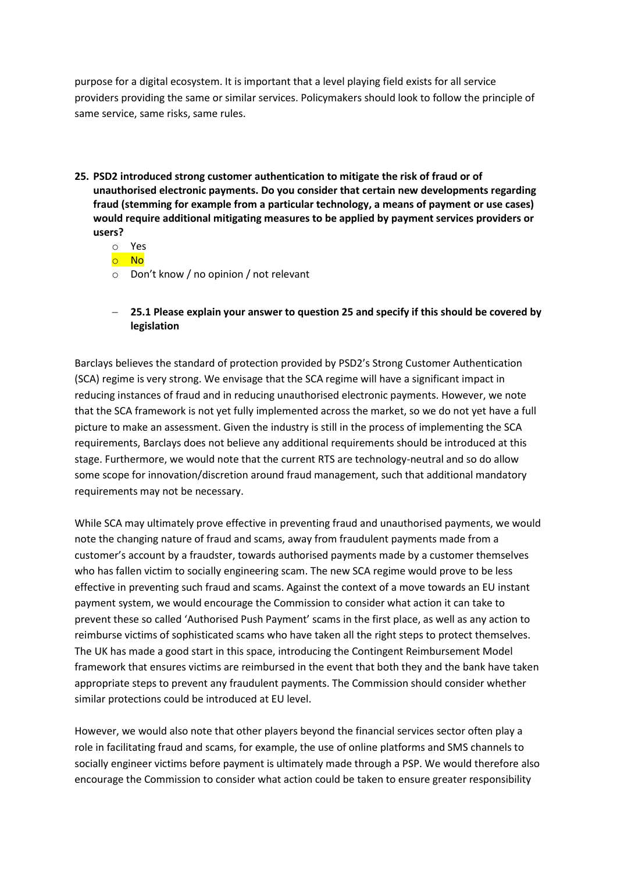purpose for a digital ecosystem. It is important that a level playing field exists for all service providers providing the same or similar services. Policymakers should look to follow the principle of same service, same risks, same rules.

- **25. PSD2 introduced strong customer authentication to mitigate the risk of fraud or of unauthorised electronic payments. Do you consider that certain new developments regarding fraud (stemming for example from a particular technology, a means of payment or use cases) would require additional mitigating measures to be applied by payment services providers or users?**
	- o Yes
	- o No
	- o Don't know / no opinion / not relevant
	- **25.1 Please explain your answer to question 25 and specify if this should be covered by legislation**

Barclays believes the standard of protection provided by PSD2's Strong Customer Authentication (SCA) regime is very strong. We envisage that the SCA regime will have a significant impact in reducing instances of fraud and in reducing unauthorised electronic payments. However, we note that the SCA framework is not yet fully implemented across the market, so we do not yet have a full picture to make an assessment. Given the industry is still in the process of implementing the SCA requirements, Barclays does not believe any additional requirements should be introduced at this stage. Furthermore, we would note that the current RTS are technology-neutral and so do allow some scope for innovation/discretion around fraud management, such that additional mandatory requirements may not be necessary.

While SCA may ultimately prove effective in preventing fraud and unauthorised payments, we would note the changing nature of fraud and scams, away from fraudulent payments made from a customer's account by a fraudster, towards authorised payments made by a customer themselves who has fallen victim to socially engineering scam. The new SCA regime would prove to be less effective in preventing such fraud and scams. Against the context of a move towards an EU instant payment system, we would encourage the Commission to consider what action it can take to prevent these so called 'Authorised Push Payment' scams in the first place, as well as any action to reimburse victims of sophisticated scams who have taken all the right steps to protect themselves. The UK has made a good start in this space, introducing the Contingent Reimbursement Model framework that ensures victims are reimbursed in the event that both they and the bank have taken appropriate steps to prevent any fraudulent payments. The Commission should consider whether similar protections could be introduced at EU level.

However, we would also note that other players beyond the financial services sector often play a role in facilitating fraud and scams, for example, the use of online platforms and SMS channels to socially engineer victims before payment is ultimately made through a PSP. We would therefore also encourage the Commission to consider what action could be taken to ensure greater responsibility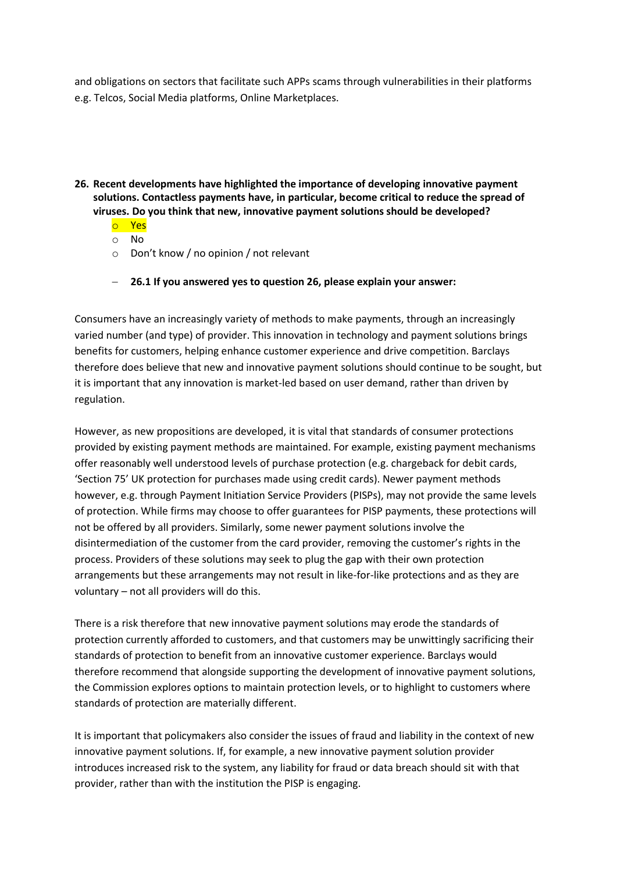and obligations on sectors that facilitate such APPs scams through vulnerabilities in their platforms e.g. Telcos, Social Media platforms, Online Marketplaces.

- **26. Recent developments have highlighted the importance of developing innovative payment solutions. Contactless payments have, in particular, become critical to reduce the spread of viruses. Do you think that new, innovative payment solutions should be developed?**
	- o Yes
	- o No
	- o Don't know / no opinion / not relevant
	- **26.1 If you answered yes to question 26, please explain your answer:**

Consumers have an increasingly variety of methods to make payments, through an increasingly varied number (and type) of provider. This innovation in technology and payment solutions brings benefits for customers, helping enhance customer experience and drive competition. Barclays therefore does believe that new and innovative payment solutions should continue to be sought, but it is important that any innovation is market-led based on user demand, rather than driven by regulation.

However, as new propositions are developed, it is vital that standards of consumer protections provided by existing payment methods are maintained. For example, existing payment mechanisms offer reasonably well understood levels of purchase protection (e.g. chargeback for debit cards, 'Section 75' UK protection for purchases made using credit cards). Newer payment methods however, e.g. through Payment Initiation Service Providers (PISPs), may not provide the same levels of protection. While firms may choose to offer guarantees for PISP payments, these protections will not be offered by all providers. Similarly, some newer payment solutions involve the disintermediation of the customer from the card provider, removing the customer's rights in the process. Providers of these solutions may seek to plug the gap with their own protection arrangements but these arrangements may not result in like-for-like protections and as they are voluntary – not all providers will do this.

There is a risk therefore that new innovative payment solutions may erode the standards of protection currently afforded to customers, and that customers may be unwittingly sacrificing their standards of protection to benefit from an innovative customer experience. Barclays would therefore recommend that alongside supporting the development of innovative payment solutions, the Commission explores options to maintain protection levels, or to highlight to customers where standards of protection are materially different.

It is important that policymakers also consider the issues of fraud and liability in the context of new innovative payment solutions. If, for example, a new innovative payment solution provider introduces increased risk to the system, any liability for fraud or data breach should sit with that provider, rather than with the institution the PISP is engaging.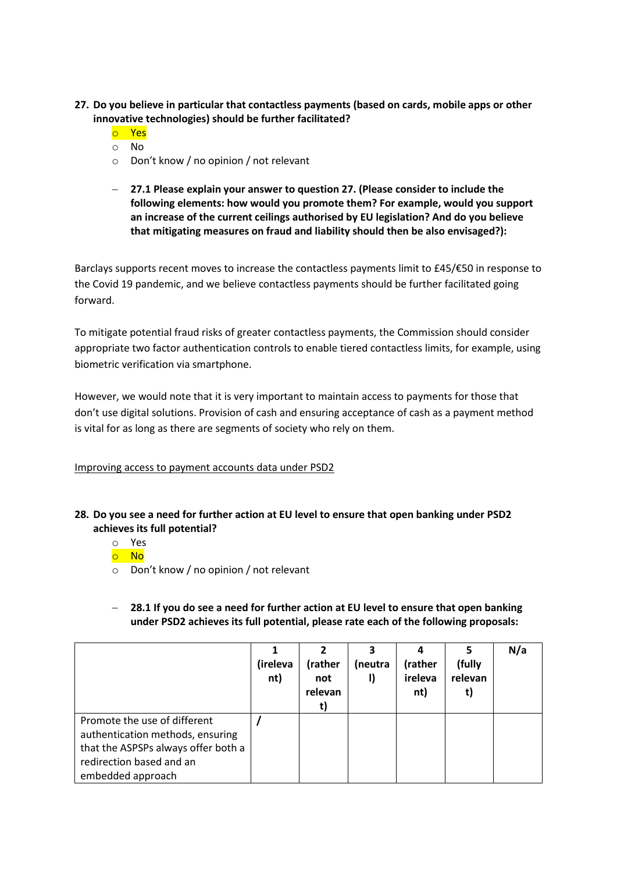- **27. Do you believe in particular that contactless payments (based on cards, mobile apps or other innovative technologies) should be further facilitated?**
	- o Yes
	- o No
	- o Don't know / no opinion / not relevant
	- **27.1 Please explain your answer to question 27. (Please consider to include the following elements: how would you promote them? For example, would you support an increase of the current ceilings authorised by EU legislation? And do you believe that mitigating measures on fraud and liability should then be also envisaged?):**

Barclays supports recent moves to increase the contactless payments limit to £45/€50 in response to the Covid 19 pandemic, and we believe contactless payments should be further facilitated going forward.

To mitigate potential fraud risks of greater contactless payments, the Commission should consider appropriate two factor authentication controls to enable tiered contactless limits, for example, using biometric verification via smartphone.

However, we would note that it is very important to maintain access to payments for those that don't use digital solutions. Provision of cash and ensuring acceptance of cash as a payment method is vital for as long as there are segments of society who rely on them.

Improving access to payment accounts data under PSD2

- **28. Do you see a need for further action at EU level to ensure that open banking under PSD2 achieves its full potential?**
	- o Yes
	- o No
	- o Don't know / no opinion / not relevant
	- **28.1 If you do see a need for further action at EU level to ensure that open banking under PSD2 achieves its full potential, please rate each of the following proposals:**

|                                                                                                                                                          | (ireleva<br>nt) | (rather<br>not<br>relevan<br>t) | (neutra<br>I) | (rather<br>ireleva<br>nt) | (fully<br>relevan | N/a |
|----------------------------------------------------------------------------------------------------------------------------------------------------------|-----------------|---------------------------------|---------------|---------------------------|-------------------|-----|
| Promote the use of different<br>authentication methods, ensuring<br>that the ASPSPs always offer both a<br>redirection based and an<br>embedded approach |                 |                                 |               |                           |                   |     |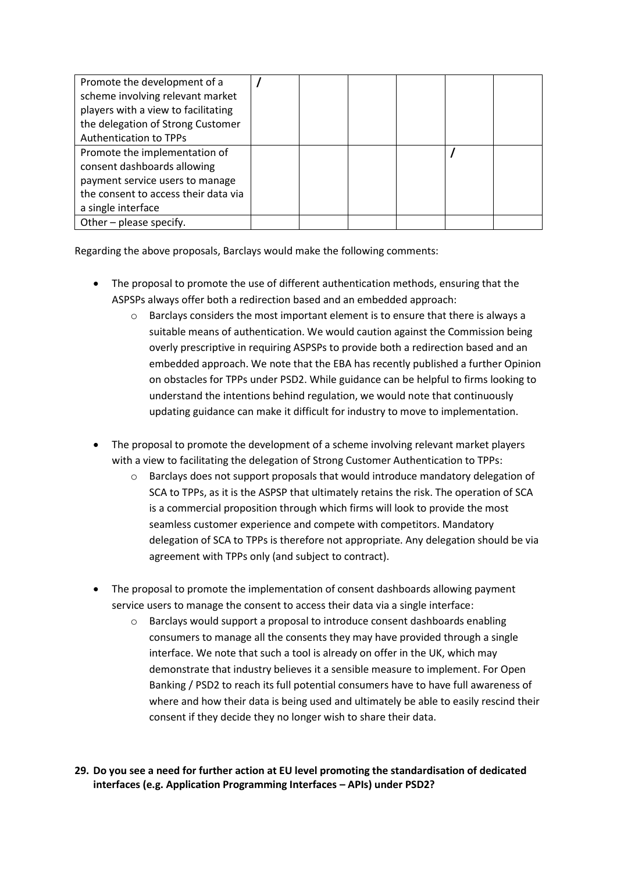| Promote the development of a         |  |  |  |
|--------------------------------------|--|--|--|
| scheme involving relevant market     |  |  |  |
| players with a view to facilitating  |  |  |  |
| the delegation of Strong Customer    |  |  |  |
| <b>Authentication to TPPs</b>        |  |  |  |
| Promote the implementation of        |  |  |  |
| consent dashboards allowing          |  |  |  |
| payment service users to manage      |  |  |  |
| the consent to access their data via |  |  |  |
| a single interface                   |  |  |  |
| Other - please specify.              |  |  |  |

Regarding the above proposals, Barclays would make the following comments:

- The proposal to promote the use of different authentication methods, ensuring that the ASPSPs always offer both a redirection based and an embedded approach:
	- $\circ$  Barclays considers the most important element is to ensure that there is always a suitable means of authentication. We would caution against the Commission being overly prescriptive in requiring ASPSPs to provide both a redirection based and an embedded approach. We note that the EBA has recently published a further Opinion on obstacles for TPPs under PSD2. While guidance can be helpful to firms looking to understand the intentions behind regulation, we would note that continuously updating guidance can make it difficult for industry to move to implementation.
- The proposal to promote the development of a scheme involving relevant market players with a view to facilitating the delegation of Strong Customer Authentication to TPPs:
	- o Barclays does not support proposals that would introduce mandatory delegation of SCA to TPPs, as it is the ASPSP that ultimately retains the risk. The operation of SCA is a commercial proposition through which firms will look to provide the most seamless customer experience and compete with competitors. Mandatory delegation of SCA to TPPs is therefore not appropriate. Any delegation should be via agreement with TPPs only (and subject to contract).
- The proposal to promote the implementation of consent dashboards allowing payment service users to manage the consent to access their data via a single interface:
	- o Barclays would support a proposal to introduce consent dashboards enabling consumers to manage all the consents they may have provided through a single interface. We note that such a tool is already on offer in the UK, which may demonstrate that industry believes it a sensible measure to implement. For Open Banking / PSD2 to reach its full potential consumers have to have full awareness of where and how their data is being used and ultimately be able to easily rescind their consent if they decide they no longer wish to share their data.

**29. Do you see a need for further action at EU level promoting the standardisation of dedicated interfaces (e.g. Application Programming Interfaces – APIs) under PSD2?**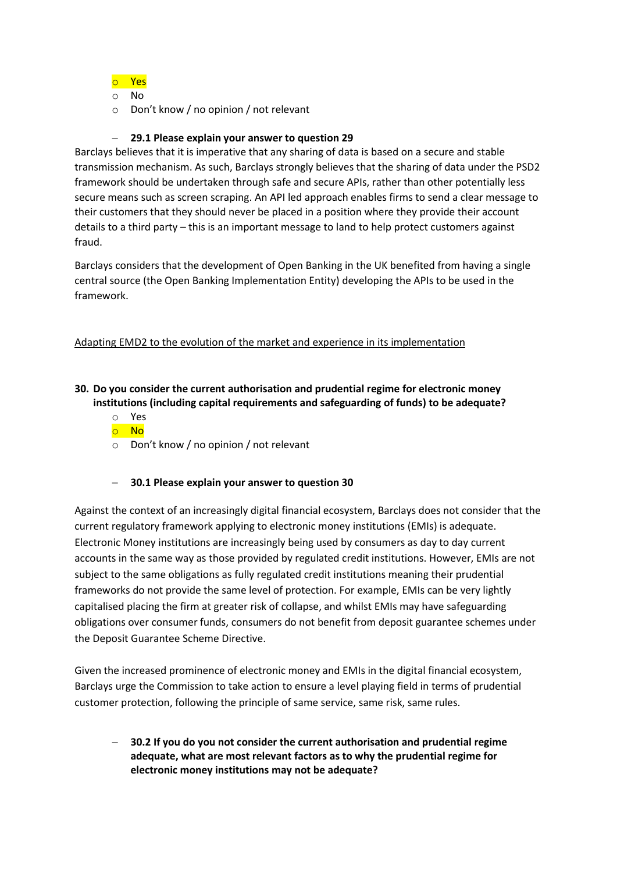#### o Yes

o No

o Don't know / no opinion / not relevant

#### **29.1 Please explain your answer to question 29**

Barclays believes that it is imperative that any sharing of data is based on a secure and stable transmission mechanism. As such, Barclays strongly believes that the sharing of data under the PSD2 framework should be undertaken through safe and secure APIs, rather than other potentially less secure means such as screen scraping. An API led approach enables firms to send a clear message to their customers that they should never be placed in a position where they provide their account details to a third party – this is an important message to land to help protect customers against fraud.

Barclays considers that the development of Open Banking in the UK benefited from having a single central source (the Open Banking Implementation Entity) developing the APIs to be used in the framework.

#### Adapting EMD2 to the evolution of the market and experience in its implementation

## **30. Do you consider the current authorisation and prudential regime for electronic money institutions (including capital requirements and safeguarding of funds) to be adequate?**

- o Yes
- o No
- o Don't know / no opinion / not relevant

#### **30.1 Please explain your answer to question 30**

Against the context of an increasingly digital financial ecosystem, Barclays does not consider that the current regulatory framework applying to electronic money institutions (EMIs) is adequate. Electronic Money institutions are increasingly being used by consumers as day to day current accounts in the same way as those provided by regulated credit institutions. However, EMIs are not subject to the same obligations as fully regulated credit institutions meaning their prudential frameworks do not provide the same level of protection. For example, EMIs can be very lightly capitalised placing the firm at greater risk of collapse, and whilst EMIs may have safeguarding obligations over consumer funds, consumers do not benefit from deposit guarantee schemes under the Deposit Guarantee Scheme Directive.

Given the increased prominence of electronic money and EMIs in the digital financial ecosystem, Barclays urge the Commission to take action to ensure a level playing field in terms of prudential customer protection, following the principle of same service, same risk, same rules.

 **30.2 If you do you not consider the current authorisation and prudential regime adequate, what are most relevant factors as to why the prudential regime for electronic money institutions may not be adequate?**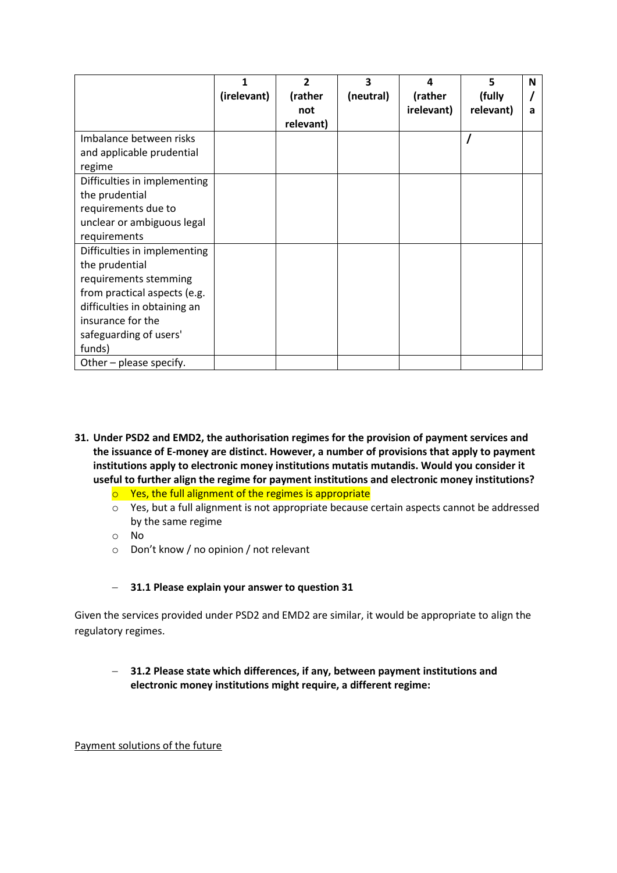|                              | 1           | 2         | 3         | 4          | 5         | N |
|------------------------------|-------------|-----------|-----------|------------|-----------|---|
|                              | (irelevant) | (rather   | (neutral) | (rather    | (fully    |   |
|                              |             | not       |           | irelevant) | relevant) | а |
|                              |             | relevant) |           |            |           |   |
| Imbalance between risks      |             |           |           |            |           |   |
| and applicable prudential    |             |           |           |            |           |   |
| regime                       |             |           |           |            |           |   |
| Difficulties in implementing |             |           |           |            |           |   |
| the prudential               |             |           |           |            |           |   |
| requirements due to          |             |           |           |            |           |   |
| unclear or ambiguous legal   |             |           |           |            |           |   |
| requirements                 |             |           |           |            |           |   |
| Difficulties in implementing |             |           |           |            |           |   |
| the prudential               |             |           |           |            |           |   |
| requirements stemming        |             |           |           |            |           |   |
| from practical aspects (e.g. |             |           |           |            |           |   |
| difficulties in obtaining an |             |           |           |            |           |   |
| insurance for the            |             |           |           |            |           |   |
| safeguarding of users'       |             |           |           |            |           |   |
| funds)                       |             |           |           |            |           |   |
| Other - please specify.      |             |           |           |            |           |   |

- **31. Under PSD2 and EMD2, the authorisation regimes for the provision of payment services and the issuance of E-money are distinct. However, a number of provisions that apply to payment institutions apply to electronic money institutions mutatis mutandis. Would you consider it useful to further align the regime for payment institutions and electronic money institutions?**
	- o Yes, the full alignment of the regimes is appropriate
	- o Yes, but a full alignment is not appropriate because certain aspects cannot be addressed by the same regime
	- o No
	- o Don't know / no opinion / not relevant

#### **31.1 Please explain your answer to question 31**

Given the services provided under PSD2 and EMD2 are similar, it would be appropriate to align the regulatory regimes.

 **31.2 Please state which differences, if any, between payment institutions and electronic money institutions might require, a different regime:**

Payment solutions of the future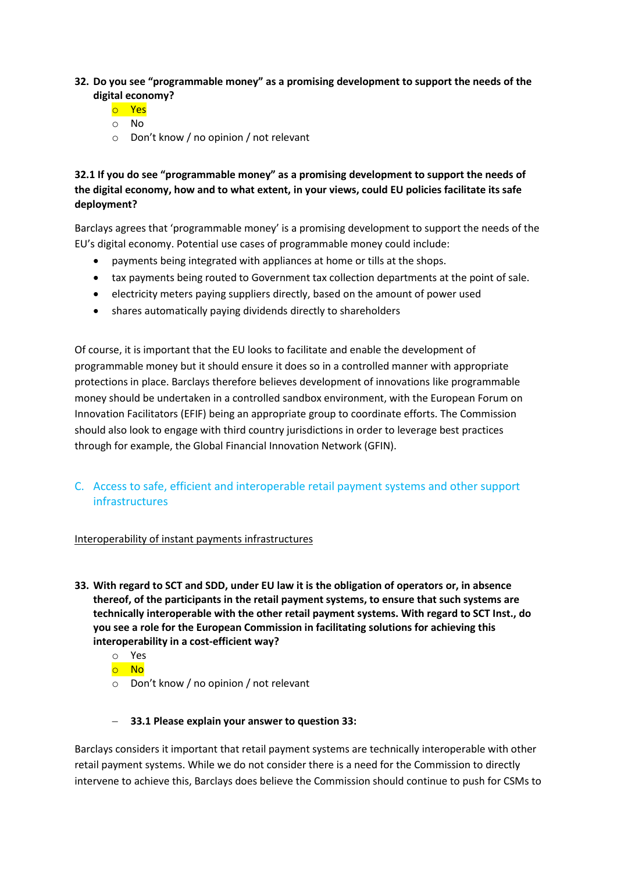#### **32. Do you see "programmable money" as a promising development to support the needs of the digital economy?**

- o Yes
- o No
- o Don't know / no opinion / not relevant

**32.1 If you do see "programmable money" as a promising development to support the needs of the digital economy, how and to what extent, in your views, could EU policies facilitate its safe deployment?**

Barclays agrees that 'programmable money' is a promising development to support the needs of the EU's digital economy. Potential use cases of programmable money could include:

- payments being integrated with appliances at home or tills at the shops.
- tax payments being routed to Government tax collection departments at the point of sale.
- electricity meters paying suppliers directly, based on the amount of power used
- shares automatically paying dividends directly to shareholders

Of course, it is important that the EU looks to facilitate and enable the development of programmable money but it should ensure it does so in a controlled manner with appropriate protections in place. Barclays therefore believes development of innovations like programmable money should be undertaken in a controlled sandbox environment, with the European Forum on Innovation Facilitators (EFIF) being an appropriate group to coordinate efforts. The Commission should also look to engage with third country jurisdictions in order to leverage best practices through for example, the Global Financial Innovation Network (GFIN).

## C. Access to safe, efficient and interoperable retail payment systems and other support infrastructures

#### Interoperability of instant payments infrastructures

- **33. With regard to SCT and SDD, under EU law it is the obligation of operators or, in absence thereof, of the participants in the retail payment systems, to ensure that such systems are technically interoperable with the other retail payment systems. With regard to SCT Inst., do you see a role for the European Commission in facilitating solutions for achieving this interoperability in a cost-efficient way?**
	- o Yes
	- o No
	- o Don't know / no opinion / not relevant

#### **33.1 Please explain your answer to question 33:**

Barclays considers it important that retail payment systems are technically interoperable with other retail payment systems. While we do not consider there is a need for the Commission to directly intervene to achieve this, Barclays does believe the Commission should continue to push for CSMs to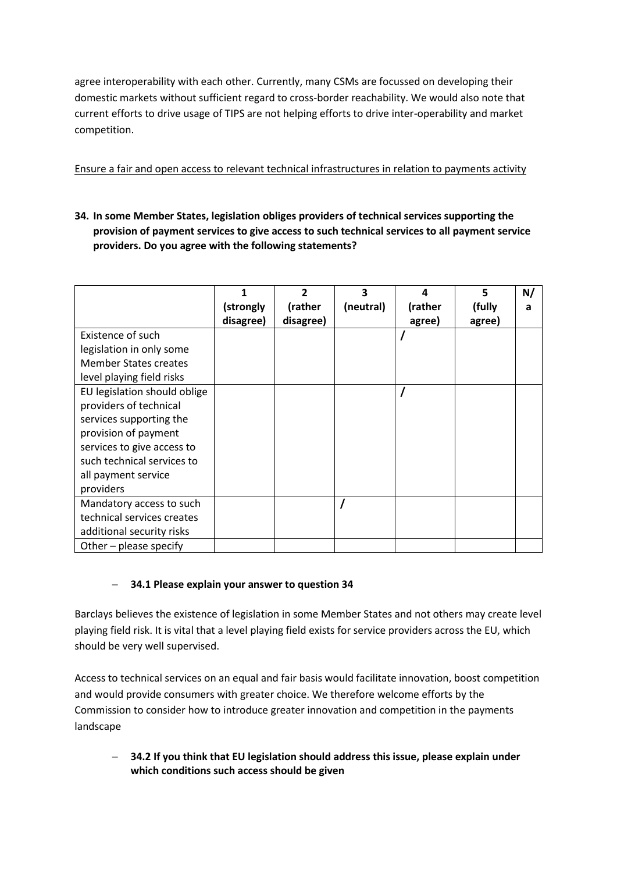agree interoperability with each other. Currently, many CSMs are focussed on developing their domestic markets without sufficient regard to cross-border reachability. We would also note that current efforts to drive usage of TIPS are not helping efforts to drive inter-operability and market competition.

## Ensure a fair and open access to relevant technical infrastructures in relation to payments activity

**34. In some Member States, legislation obliges providers of technical services supporting the provision of payment services to give access to such technical services to all payment service providers. Do you agree with the following statements?**

|                              |           | 2         | 3         | 4       | 5      | N/ |
|------------------------------|-----------|-----------|-----------|---------|--------|----|
|                              | (strongly | (rather   | (neutral) | (rather | (fully | a  |
|                              | disagree) | disagree) |           | agree)  | agree) |    |
| Existence of such            |           |           |           |         |        |    |
| legislation in only some     |           |           |           |         |        |    |
| <b>Member States creates</b> |           |           |           |         |        |    |
| level playing field risks    |           |           |           |         |        |    |
| EU legislation should oblige |           |           |           |         |        |    |
| providers of technical       |           |           |           |         |        |    |
| services supporting the      |           |           |           |         |        |    |
| provision of payment         |           |           |           |         |        |    |
| services to give access to   |           |           |           |         |        |    |
| such technical services to   |           |           |           |         |        |    |
| all payment service          |           |           |           |         |        |    |
| providers                    |           |           |           |         |        |    |
| Mandatory access to such     |           |           |           |         |        |    |
| technical services creates   |           |           |           |         |        |    |
| additional security risks    |           |           |           |         |        |    |
| Other - please specify       |           |           |           |         |        |    |

## **34.1 Please explain your answer to question 34**

Barclays believes the existence of legislation in some Member States and not others may create level playing field risk. It is vital that a level playing field exists for service providers across the EU, which should be very well supervised.

Access to technical services on an equal and fair basis would facilitate innovation, boost competition and would provide consumers with greater choice. We therefore welcome efforts by the Commission to consider how to introduce greater innovation and competition in the payments landscape

 **34.2 If you think that EU legislation should address this issue, please explain under which conditions such access should be given**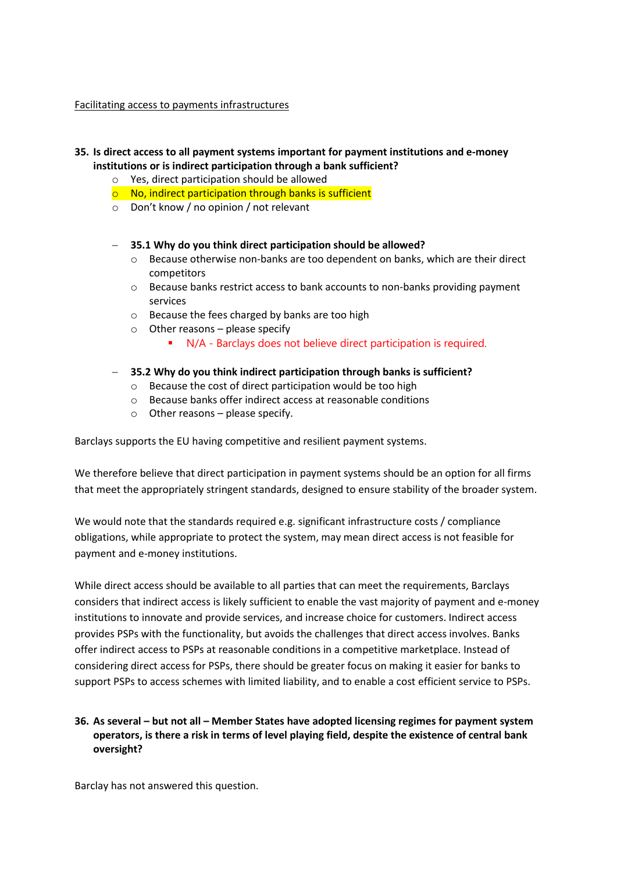#### Facilitating access to payments infrastructures

#### **35. Is direct access to all payment systems important for payment institutions and e-money institutions or is indirect participation through a bank sufficient?**

- o Yes, direct participation should be allowed
- $\circ$  No, indirect participation through banks is sufficient
- o Don't know / no opinion / not relevant

#### **35.1 Why do you think direct participation should be allowed?**

- $\circ$  Because otherwise non-banks are too dependent on banks, which are their direct competitors
- o Because banks restrict access to bank accounts to non-banks providing payment services
- o Because the fees charged by banks are too high
- $\circ$  Other reasons please specify
	- N/A Barclays does not believe direct participation is required.

#### **35.2 Why do you think indirect participation through banks is sufficient?**

- o Because the cost of direct participation would be too high
- o Because banks offer indirect access at reasonable conditions
- $\circ$  Other reasons please specify.

Barclays supports the EU having competitive and resilient payment systems.

We therefore believe that direct participation in payment systems should be an option for all firms that meet the appropriately stringent standards, designed to ensure stability of the broader system.

We would note that the standards required e.g. significant infrastructure costs / compliance obligations, while appropriate to protect the system, may mean direct access is not feasible for payment and e-money institutions.

While direct access should be available to all parties that can meet the requirements, Barclays considers that indirect access is likely sufficient to enable the vast majority of payment and e-money institutions to innovate and provide services, and increase choice for customers. Indirect access provides PSPs with the functionality, but avoids the challenges that direct access involves. Banks offer indirect access to PSPs at reasonable conditions in a competitive marketplace. Instead of considering direct access for PSPs, there should be greater focus on making it easier for banks to support PSPs to access schemes with limited liability, and to enable a cost efficient service to PSPs.

#### **36. As several – but not all – Member States have adopted licensing regimes for payment system operators, is there a risk in terms of level playing field, despite the existence of central bank oversight?**

Barclay has not answered this question.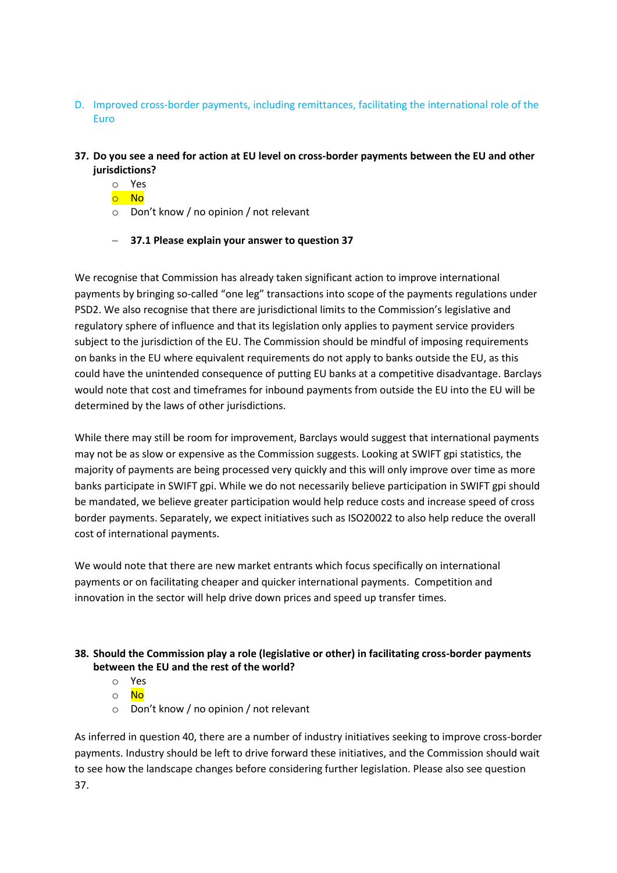- D. Improved cross-border payments, including remittances, facilitating the international role of the Euro
- **37. Do you see a need for action at EU level on cross-border payments between the EU and other jurisdictions?**
	- o Yes
	- o No
	- o Don't know / no opinion / not relevant
	- **37.1 Please explain your answer to question 37**

We recognise that Commission has already taken significant action to improve international payments by bringing so-called "one leg" transactions into scope of the payments regulations under PSD2. We also recognise that there are jurisdictional limits to the Commission's legislative and regulatory sphere of influence and that its legislation only applies to payment service providers subject to the jurisdiction of the EU. The Commission should be mindful of imposing requirements on banks in the EU where equivalent requirements do not apply to banks outside the EU, as this could have the unintended consequence of putting EU banks at a competitive disadvantage. Barclays would note that cost and timeframes for inbound payments from outside the EU into the EU will be determined by the laws of other jurisdictions.

While there may still be room for improvement, Barclays would suggest that international payments may not be as slow or expensive as the Commission suggests. Looking at SWIFT gpi statistics, the majority of payments are being processed very quickly and this will only improve over time as more banks participate in SWIFT gpi. While we do not necessarily believe participation in SWIFT gpi should be mandated, we believe greater participation would help reduce costs and increase speed of cross border payments. Separately, we expect initiatives such as ISO20022 to also help reduce the overall cost of international payments.

We would note that there are new market entrants which focus specifically on international payments or on facilitating cheaper and quicker international payments. Competition and innovation in the sector will help drive down prices and speed up transfer times.

#### **38. Should the Commission play a role (legislative or other) in facilitating cross-border payments between the EU and the rest of the world?**

- o Yes
- o No
- o Don't know / no opinion / not relevant

As inferred in question 40, there are a number of industry initiatives seeking to improve cross-border payments. Industry should be left to drive forward these initiatives, and the Commission should wait to see how the landscape changes before considering further legislation. Please also see question 37.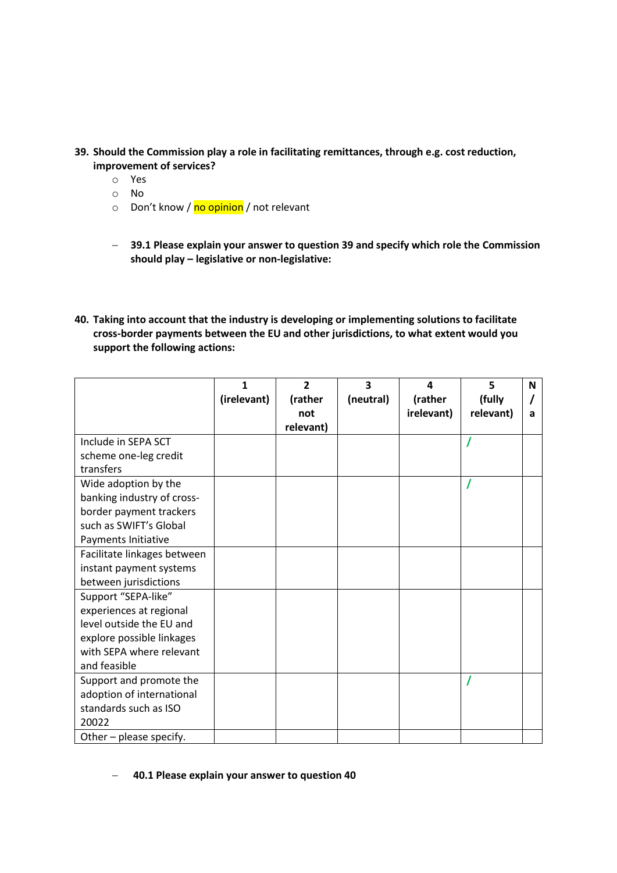- **39. Should the Commission play a role in facilitating remittances, through e.g. cost reduction, improvement of services?**
	- o Yes
	- o No
	- o Don't know / no opinion / not relevant
	- **39.1 Please explain your answer to question 39 and specify which role the Commission should play – legislative or non-legislative:**
- **40. Taking into account that the industry is developing or implementing solutions to facilitate cross-border payments between the EU and other jurisdictions, to what extent would you support the following actions:**

|                                    | $\mathbf{1}$<br>(irelevant) | $\overline{2}$<br>(rather<br>not<br>relevant) | 3<br>(neutral) | $\boldsymbol{a}$<br>(rather<br>irelevant) | 5<br>(fully<br>relevant) | N<br>a |
|------------------------------------|-----------------------------|-----------------------------------------------|----------------|-------------------------------------------|--------------------------|--------|
| Include in SEPA SCT                |                             |                                               |                |                                           |                          |        |
| scheme one-leg credit<br>transfers |                             |                                               |                |                                           |                          |        |
| Wide adoption by the               |                             |                                               |                |                                           |                          |        |
| banking industry of cross-         |                             |                                               |                |                                           |                          |        |
| border payment trackers            |                             |                                               |                |                                           |                          |        |
| such as SWIFT's Global             |                             |                                               |                |                                           |                          |        |
| Payments Initiative                |                             |                                               |                |                                           |                          |        |
| Facilitate linkages between        |                             |                                               |                |                                           |                          |        |
| instant payment systems            |                             |                                               |                |                                           |                          |        |
| between jurisdictions              |                             |                                               |                |                                           |                          |        |
| Support "SEPA-like"                |                             |                                               |                |                                           |                          |        |
| experiences at regional            |                             |                                               |                |                                           |                          |        |
| level outside the EU and           |                             |                                               |                |                                           |                          |        |
| explore possible linkages          |                             |                                               |                |                                           |                          |        |
| with SEPA where relevant           |                             |                                               |                |                                           |                          |        |
| and feasible                       |                             |                                               |                |                                           |                          |        |
| Support and promote the            |                             |                                               |                |                                           |                          |        |
| adoption of international          |                             |                                               |                |                                           |                          |        |
| standards such as ISO              |                             |                                               |                |                                           |                          |        |
| 20022                              |                             |                                               |                |                                           |                          |        |
| Other - please specify.            |                             |                                               |                |                                           |                          |        |

#### **40.1 Please explain your answer to question 40**